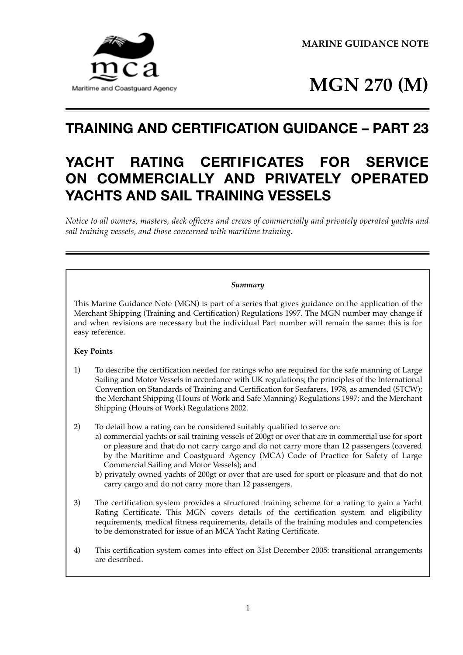



# **TRAINING AND CERTIFICATION GUIDANCE – PART 23**

# **YACHT RATING CERTIFICATES FOR SERVICE ON COMMERCIALLY AND PRIVATELY OPERATED YACHTS AND SAIL TRAINING VESSELS**

*Notice to all owners, masters, deck officers and crews of commercially and privately operated yachts and sail training vessels, and those concerned with maritime training.*

#### *Summary*

This Marine Guidance Note (MGN) is part of a series that gives guidance on the application of the Merchant Shipping (Training and Certification) Regulations 1997. The MGN number may change if and when revisions are necessary but the individual Part number will remain the same: this is for easy reference.

### **Key Points**

- 1) To describe the certification needed for ratings who are required for the safe manning of Large Sailing and Motor Vessels in accordance with UK regulations; the principles of the International Convention on Standards of Training and Certification for Seafarers, 1978, as amended (STCW); the Merchant Shipping (Hours of Work and Safe Manning) Regulations 1997; and the Merchant Shipping (Hours of Work) Regulations 2002.
- 2) To detail how a rating can be considered suitably qualified to serve on:
	- a) commercial yachts or sail training vessels of 200gt or over that are in commercial use for sport or pleasure and that do not carry cargo and do not carry more than 12 passengers (covered by the Maritime and Coastguard Agency (MCA) Code of Practice for Safety of Large Commercial Sailing and Motor Vessels); and
	- b) privately owned yachts of 200gt or over that are used for sport or pleasure and that do not carry cargo and do not carry more than 12 passengers.
- 3) The certification system provides a structured training scheme for a rating to gain a Yacht Rating Certificate. This MGN covers details of the certification system and eligibility requirements, medical fitness requirements, details of the training modules and competencies to be demonstrated for issue of an MCA Yacht Rating Certificate.
- 4) This certification system comes into effect on 31st December 2005: transitional arrangements are described.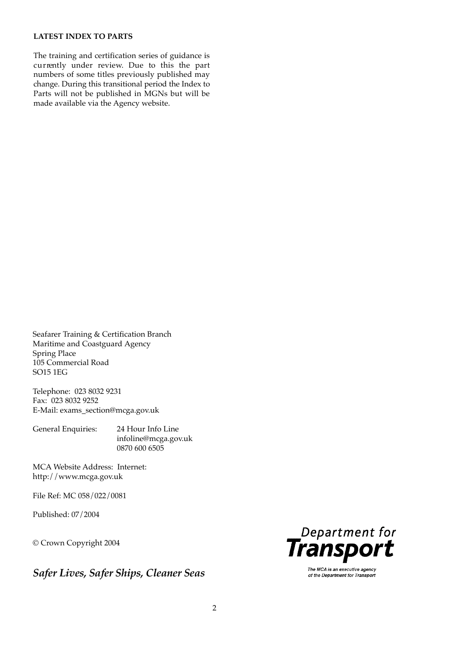### **LATEST INDEX TO PARTS**

The training and certification series of guidance is currently under review. Due to this the part numbers of some titles previously published may change. During this transitional period the Index to Parts will not be published in MGNs but will be made available via the Agency website.

Seafarer Training & Certification Branch Maritime and Coastguard Agency Spring Place 105 Commercial Road SO15 1EG

Telephone: 023 8032 9231 Fax: 023 8032 9252 E-Mail: exams\_section@mcga.gov.uk

General Enquiries: 24 Hour Info Line infoline@mcga.gov.uk 0870 600 6505

MCA Website Address: Internet: http://www.mcga.gov.uk

File Ref: MC 058/022/0081

Published: 07/2004

© Crown Copyright 2004

*Safer Lives, Safer Ships, Cleaner Seas*



The MCA is an executive agency of the Department for Transport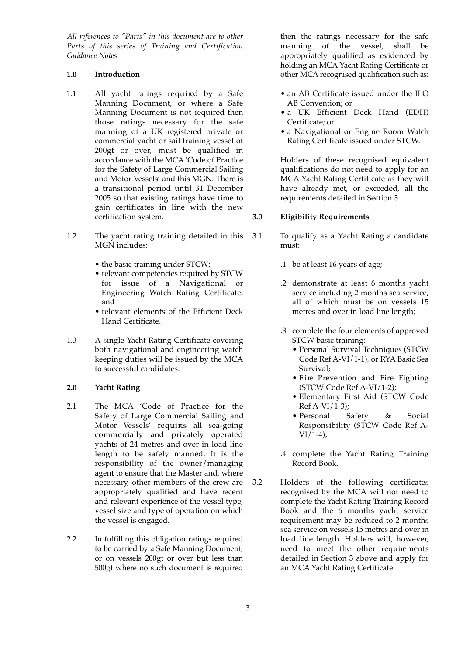*All references to "Parts" in this document are to other Parts of this series of Training and Certification Guidance Notes*

#### **1.0 Introduction**

- 1.1 All yacht ratings required by a Safe Manning Document, or where a Safe Manning Document is not required then those ratings necessary for the safe manning of a UK registered private or commercial yacht or sail training vessel of 200gt or over, must be qualified in accordance with the MCA 'Code of Practice for the Safety of Large Commercial Sailing and Motor Vessels' and this MGN. There is a transitional period until 31 December 2005 so that existing ratings have time to gain certificates in line with the new certification system.
- 1.2 The yacht rating training detailed in this MGN includes:
	- the basic training under STCW;
	- relevant competencies required by STCW for issue of a Navigational or Engineering Watch Rating Certificate; and
	- relevant elements of the Efficient Deck Hand Certificate.
- 1.3 A single Yacht Rating Certificate covering both navigational and engineering watch keeping duties will be issued by the MCA to successful candidates.

#### **2.0 Yacht Rating**

- 2.1 The MCA 'Code of Practice for the Safety of Large Commercial Sailing and Motor Vessels' requires all sea-going commercially and privately operated yachts of 24 metres and over in load line length to be safely manned. It is the responsibility of the owner/managing agent to ensure that the Master and, where necessary, other members of the crew are appropriately qualified and have recent and relevant experience of the vessel type, vessel size and type of operation on which the vessel is engaged.
- 2.2 In fulfilling this obligation ratings required to be carried by a Safe Manning Document, or on vessels 200gt or over but less than 500gt where no such document is required

then the ratings necessary for the safe manning of the vessel, shall be appropriately qualified as evidenced by holding an MCA Yacht Rating Certificate or other MCA recognised qualification such as:

- an AB Certificate issued under the ILO AB Convention; or
- a UK Efficient Deck Hand (EDH) Certificate; or
- a Navigational or Engine Room Watch Rating Certificate issued under STCW.

Holders of these recognised equivalent qualifications do not need to apply for an MCA Yacht Rating Certificate as they will have already met, or exceeded, all the requirements detailed in Section 3.

#### **3.0 Eligibility Requirements**

- 3.1 To qualify as a Yacht Rating a candidate must:
	- .1 be at least 16 years of age;
	- .2 demonstrate at least 6 months yacht service including 2 months sea service, all of which must be on vessels 15 metres and over in load line length;
	- .3 complete the four elements of approved STCW basic training:
		- Personal Survival Techniques (STCW Code Ref A-VI/1-1), or RYA Basic Sea Survival;
		- Fire Prevention and Fire Fighting (STCW Code Ref A-VI/1-2);
		- Elementary First Aid (STCW Code  $Ref A-VI/1-3$ :
		- Personal Safety & Social Responsibility (STCW Code Ref A- $VI/1-4);$
	- .4 complete the Yacht Rating Training Record Book.
- 3.2 Holders of the following certificates recognised by the MCA will not need to complete the Yacht Rating Training Record Book and the 6 months yacht service requirement may be reduced to 2 months sea service on vessels 15 metres and over in load line length. Holders will, however, need to meet the other requirements detailed in Section 3 above and apply for an MCA Yacht Rating Certificate: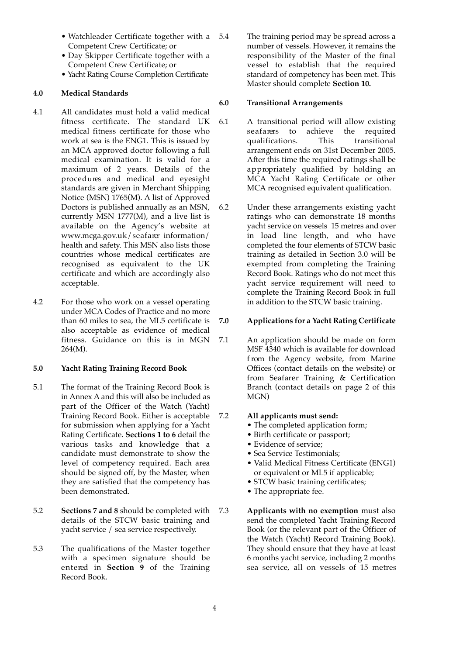- Watchleader Certificate together with a Competent Crew Certificate; or
- Day Skipper Certificate together with a Competent Crew Certificate; or
- Yacht Rating Course Completion Certificate

### **4.0 Medical Standards**

- 4.1 All candidates must hold a valid medical fitness certificate. The standard UK medical fitness certificate for those who work at sea is the ENG1. This is issued by an MCA approved doctor following a full medical examination. It is valid for a maximum of 2 years. Details of the procedures and medical and eyesight standards are given in Merchant Shipping Notice (MSN) 1765(M). A list of Approved Doctors is published annually as an MSN, currently MSN 1777(M), and a live list is available on the Agency's website at www.mcga.gov.uk/seafarer information/ health and safety. This MSN also lists those countries whose medical certificates are recognised as equivalent to the UK certificate and which are accordingly also acceptable.
- 4.2 For those who work on a vessel operating under MCA Codes of Practice and no more than 60 miles to sea, the ML5 certificate is also acceptable as evidence of medical fitness. Guidance on this is in MGN 264(M).

#### **5.0 Yacht Rating Training Record Book**

- 5.1 The format of the Training Record Book is in Annex A and this will also be included as part of the Officer of the Watch (Yacht) Training Record Book. Either is acceptable for submission when applying for a Yacht Rating Certificate. **Sections 1 to 6** detail the various tasks and knowledge that a candidate must demonstrate to show the level of competency required. Each area should be signed off, by the Master, when they are satisfied that the competency has been demonstrated.
- 5.2 **Sections 7 and 8** should be completed with details of the STCW basic training and yacht service / sea service respectively.
- 5.3 The qualifications of the Master together with a specimen signature should be entered in **Section** 9 of the Training Record Book.

5.4 The training period may be spread across a number of vessels. However, it remains the responsibility of the Master of the final  $v$ essel to establish that the required standard of competency has been met. This Master should complete **Section 10.**

### **6.0 Transitional Arrangements**

- 6.1 A transitional period will allow existing seafarers to achieve the required qualifications. This transitional arrangement ends on 31st December 2005. After this time the required ratings shall be appropriately qualified by holding an MCA Yacht Rating Certificate or other MCA recognised equivalent qualification.
- 6.2 Under these arrangements existing yacht ratings who can demonstrate 18 months yacht service on vessels 15 metres and over in load line length, and who have completed the four elements of STCW basic training as detailed in Section 3.0 will be exempted from completing the Training Record Book. Ratings who do not meet this yacht service requirement will need to complete the Training Record Book in full in addition to the STCW basic training.

### **7.0 Applications for a Yacht Rating Certificate**

7.1 An application should be made on form MSF 4340 which is available for download f rom the Agency website, from Marine Offices (contact details on the website) or from Seafarer Training & Certification Branch (contact details on page 2 of this MGN)

#### 7.2 **All applicants must send:**

- The completed application form;
- Birth certificate or passport;
- Evidence of service;
- Sea Service Testimonials;
- Valid Medical Fitness Certificate (ENG1) or equivalent or ML5 if applicable;
- STCW basic training certificates;
- The appropriate fee.
- 7.3 **Applicants with no exemption** must also send the completed Yacht Training Record Book (or the relevant part of the Officer of the Watch (Yacht) Record Training Book). They should ensure that they have at least 6 months yacht service, including 2 months sea service, all on vessels of 15 metres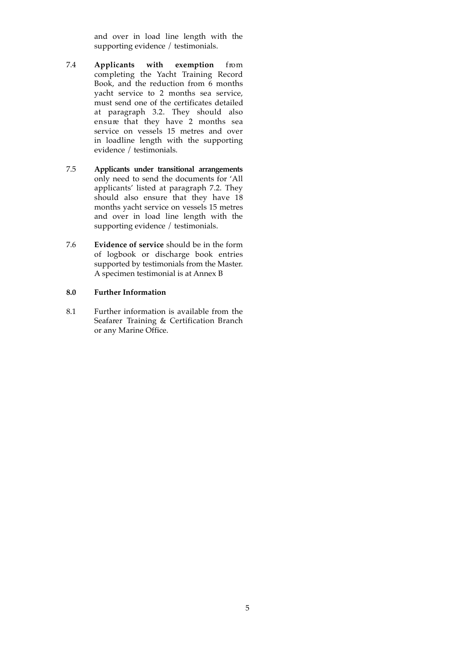and over in load line length with the supporting evidence / testimonials.

- 7.4 **Applicants with exemption** from completing the Yacht Training Record Book, and the reduction from  $6$  months yacht service to 2 months sea service, must send one of the certificates detailed at paragraph 3.2. They should also ensure that they have 2 months sea service on vessels 15 metres and over in loadline length with the supporting evidence / testimonials.
- 7.5 **Applicants under transitional arrangements** only need to send the documents for 'All applicants' listed at paragraph 7.2. They should also ensure that they have 18 months yacht service on vessels 15 metres and over in load line length with the supporting evidence / testimonials.
- 7.6 **Evidence of service** should be in the form of logbook or discharge book entries supported by testimonials from the Master. A specimen testimonial is at Annex B

#### **8.0 Further Information**

8.1 Further information is available from the Seafarer Training & Certification Branch or any Marine Office.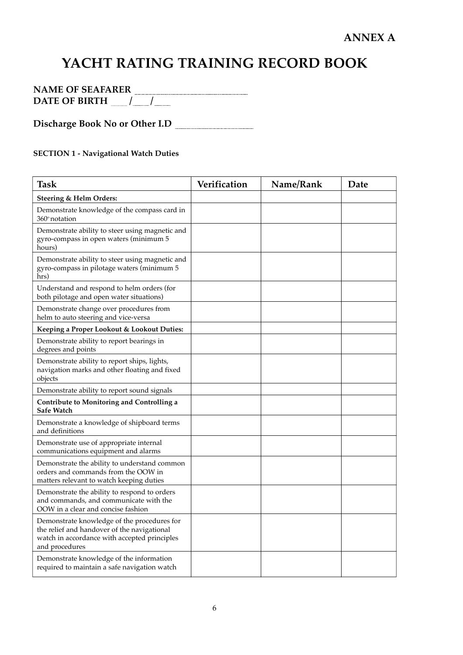# **YACHT RATING TRAINING RECORD BOOK**

| N<br>E OF.<br>SH A<br>M<br>Δ<br>HΔ | ЕR   |
|------------------------------------|------|
| DATE<br>RIRT<br>rн<br>6 Y.H<br>    | <br> |

**Discharge Book No or Other I.D**

## **SECTION 1 - Navigational Watch Duties**

| <b>Task</b>                                                                                                                                                  | Verification | Name/Rank | Date |
|--------------------------------------------------------------------------------------------------------------------------------------------------------------|--------------|-----------|------|
| Steering & Helm Orders:                                                                                                                                      |              |           |      |
| Demonstrate knowledge of the compass card in<br>360 <sup>°</sup> notation                                                                                    |              |           |      |
| Demonstrate ability to steer using magnetic and<br>gyro-compass in open waters (minimum 5<br>hours)                                                          |              |           |      |
| Demonstrate ability to steer using magnetic and<br>gyro-compass in pilotage waters (minimum 5<br>hrs)                                                        |              |           |      |
| Understand and respond to helm orders (for<br>both pilotage and open water situations)                                                                       |              |           |      |
| Demonstrate change over procedures from<br>helm to auto steering and vice-versa                                                                              |              |           |      |
| Keeping a Proper Lookout & Lookout Duties:                                                                                                                   |              |           |      |
| Demonstrate ability to report bearings in<br>degrees and points                                                                                              |              |           |      |
| Demonstrate ability to report ships, lights,<br>navigation marks and other floating and fixed<br>objects                                                     |              |           |      |
| Demonstrate ability to report sound signals                                                                                                                  |              |           |      |
| Contribute to Monitoring and Controlling a<br><b>Safe Watch</b>                                                                                              |              |           |      |
| Demonstrate a knowledge of shipboard terms<br>and definitions                                                                                                |              |           |      |
| Demonstrate use of appropriate internal<br>communications equipment and alarms                                                                               |              |           |      |
| Demonstrate the ability to understand common<br>orders and commands from the OOW in<br>matters relevant to watch keeping duties                              |              |           |      |
| Demonstrate the ability to respond to orders<br>and commands, and communicate with the<br>OOW in a clear and concise fashion                                 |              |           |      |
| Demonstrate knowledge of the procedures for<br>the relief and handover of the navigational<br>watch in accordance with accepted principles<br>and procedures |              |           |      |
| Demonstrate knowledge of the information<br>required to maintain a safe navigation watch                                                                     |              |           |      |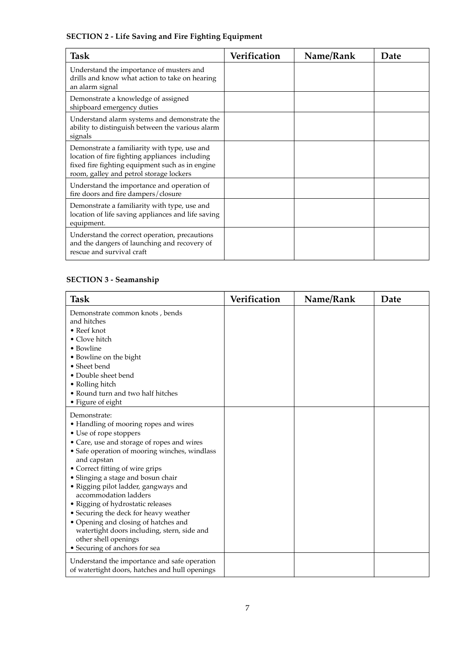## **SECTION 2 - Life Saving and Fire Fighting Equipment**

| <b>Task</b>                                                                                                                                                                                  | Verification | Name/Rank | Date |
|----------------------------------------------------------------------------------------------------------------------------------------------------------------------------------------------|--------------|-----------|------|
| Understand the importance of musters and<br>drills and know what action to take on hearing<br>an alarm signal                                                                                |              |           |      |
| Demonstrate a knowledge of assigned<br>shipboard emergency duties                                                                                                                            |              |           |      |
| Understand alarm systems and demonstrate the<br>ability to distinguish between the various alarm<br>signals                                                                                  |              |           |      |
| Demonstrate a familiarity with type, use and<br>location of fire fighting appliances including<br>fixed fire fighting equipment such as in engine<br>room, galley and petrol storage lockers |              |           |      |
| Understand the importance and operation of<br>fire doors and fire dampers/closure                                                                                                            |              |           |      |
| Demonstrate a familiarity with type, use and<br>location of life saving appliances and life saving<br>equipment.                                                                             |              |           |      |
| Understand the correct operation, precautions<br>and the dangers of launching and recovery of<br>rescue and survival craft                                                                   |              |           |      |

## **SECTION 3 - Seamanship**

| <b>Task</b>                                                   | Verification | Name/Rank | Date |
|---------------------------------------------------------------|--------------|-----------|------|
| Demonstrate common knots, bends                               |              |           |      |
| and hitches                                                   |              |           |      |
| $\bullet$ Reef knot                                           |              |           |      |
| • Clove hitch                                                 |              |           |      |
| $\bullet$ Bowline                                             |              |           |      |
| • Bowline on the bight                                        |              |           |      |
| • Sheet bend                                                  |              |           |      |
| • Double sheet bend                                           |              |           |      |
| • Rolling hitch                                               |              |           |      |
| • Round turn and two half hitches                             |              |           |      |
| • Figure of eight                                             |              |           |      |
| Demonstrate:                                                  |              |           |      |
| • Handling of mooring ropes and wires                         |              |           |      |
| • Use of rope stoppers                                        |              |           |      |
| • Care, use and storage of ropes and wires                    |              |           |      |
| • Safe operation of mooring winches, windlass                 |              |           |      |
| and capstan                                                   |              |           |      |
| • Correct fitting of wire grips                               |              |           |      |
| • Slinging a stage and bosun chair                            |              |           |      |
| • Rigging pilot ladder, gangways and<br>accommodation ladders |              |           |      |
| • Rigging of hydrostatic releases                             |              |           |      |
| • Securing the deck for heavy weather                         |              |           |      |
| • Opening and closing of hatches and                          |              |           |      |
| watertight doors including, stern, side and                   |              |           |      |
| other shell openings                                          |              |           |      |
| • Securing of anchors for sea                                 |              |           |      |
| Understand the importance and safe operation                  |              |           |      |
| of watertight doors, hatches and hull openings                |              |           |      |
|                                                               |              |           |      |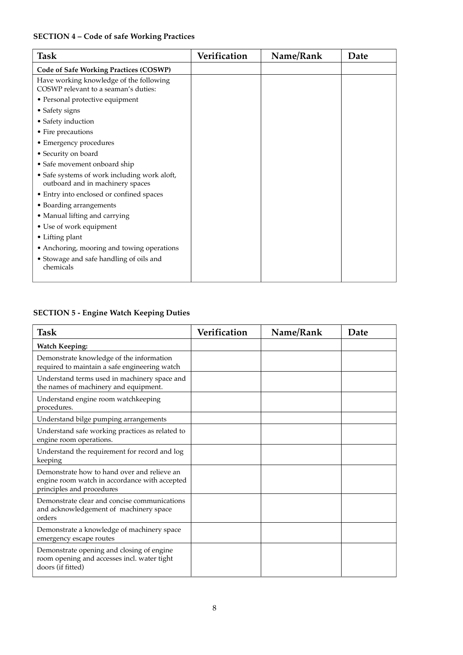## **SECTION 4 – Code of safe Working Practices**

| Task                                                                             | Verification | Name/Rank | Date |
|----------------------------------------------------------------------------------|--------------|-----------|------|
| <b>Code of Safe Working Practices (COSWP)</b>                                    |              |           |      |
| Have working knowledge of the following<br>COSWP relevant to a seaman's duties:  |              |           |      |
| • Personal protective equipment                                                  |              |           |      |
| • Safety signs                                                                   |              |           |      |
| • Safety induction                                                               |              |           |      |
| • Fire precautions                                                               |              |           |      |
| • Emergency procedures                                                           |              |           |      |
| • Security on board                                                              |              |           |      |
| • Safe movement onboard ship                                                     |              |           |      |
| • Safe systems of work including work aloft,<br>outboard and in machinery spaces |              |           |      |
| • Entry into enclosed or confined spaces                                         |              |           |      |
| • Boarding arrangements                                                          |              |           |      |
| • Manual lifting and carrying                                                    |              |           |      |
| • Use of work equipment                                                          |              |           |      |
| • Lifting plant                                                                  |              |           |      |
| • Anchoring, mooring and towing operations                                       |              |           |      |
| • Stowage and safe handling of oils and<br>chemicals                             |              |           |      |
|                                                                                  |              |           |      |

## **SECTION 5 - Engine Watch Keeping Duties**

| <b>Task</b>                                                                                                               | Verification | Name/Rank | Date |
|---------------------------------------------------------------------------------------------------------------------------|--------------|-----------|------|
| <b>Watch Keeping:</b>                                                                                                     |              |           |      |
| Demonstrate knowledge of the information<br>required to maintain a safe engineering watch                                 |              |           |      |
| Understand terms used in machinery space and<br>the names of machinery and equipment.                                     |              |           |      |
| Understand engine room watchkeeping<br>procedures.                                                                        |              |           |      |
| Understand bilge pumping arrangements                                                                                     |              |           |      |
| Understand safe working practices as related to<br>engine room operations.                                                |              |           |      |
| Understand the requirement for record and log<br>keeping                                                                  |              |           |      |
| Demonstrate how to hand over and relieve an<br>engine room watch in accordance with accepted<br>principles and procedures |              |           |      |
| Demonstrate clear and concise communications<br>and acknowledgement of machinery space<br>orders                          |              |           |      |
| Demonstrate a knowledge of machinery space<br>emergency escape routes                                                     |              |           |      |
| Demonstrate opening and closing of engine<br>room opening and accesses incl. water tight<br>doors (if fitted)             |              |           |      |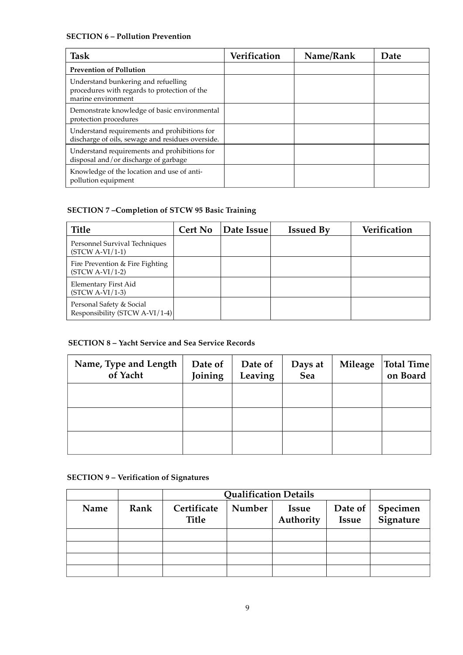## **SECTION 6 – Pollution Prevention**

| <b>Task</b>                                                                                               | Verification | Name/Rank | Date |
|-----------------------------------------------------------------------------------------------------------|--------------|-----------|------|
| <b>Prevention of Pollution</b>                                                                            |              |           |      |
| Understand bunkering and refuelling<br>procedures with regards to protection of the<br>marine environment |              |           |      |
| Demonstrate knowledge of basic environmental<br>protection procedures                                     |              |           |      |
| Understand requirements and prohibitions for<br>discharge of oils, sewage and residues overside.          |              |           |      |
| Understand requirements and prohibitions for<br>disposal and/or discharge of garbage                      |              |           |      |
| Knowledge of the location and use of anti-<br>pollution equipment                                         |              |           |      |

## **SECTION 7 –Completion of STCW 95 Basic Training**

| Title                                                      | <b>Cert No</b> | Date Issue | <b>Issued By</b> | Verification |
|------------------------------------------------------------|----------------|------------|------------------|--------------|
| Personnel Survival Techniques<br>$(STCW A-VI/1-1)$         |                |            |                  |              |
| Fire Prevention & Fire Fighting<br>$(STCW A-VI/1-2)$       |                |            |                  |              |
| Elementary First Aid<br>$(STCW A-VI/1-3)$                  |                |            |                  |              |
| Personal Safety & Social<br>Responsibility (STCW A-VI/1-4) |                |            |                  |              |

## **SECTION 8 – Yacht Service and Sea Service Records**

| Name, Type and Length<br>of Yacht | Date of<br>Joining | Date of<br>Leaving | Days at<br>Sea | Mileage | Total Time <br>on Board |
|-----------------------------------|--------------------|--------------------|----------------|---------|-------------------------|
|                                   |                    |                    |                |         |                         |
|                                   |                    |                    |                |         |                         |
|                                   |                    |                    |                |         |                         |

## **SECTION 9 – Verification of Signatures**

|      |      |                             | <b>Qualification Details</b> |                           |                         |                       |
|------|------|-----------------------------|------------------------------|---------------------------|-------------------------|-----------------------|
| Name | Rank | Certificate<br><b>Title</b> | Number                       | <b>Issue</b><br>Authority | Date of<br><b>Issue</b> | Specimen<br>Signature |
|      |      |                             |                              |                           |                         |                       |
|      |      |                             |                              |                           |                         |                       |
|      |      |                             |                              |                           |                         |                       |
|      |      |                             |                              |                           |                         |                       |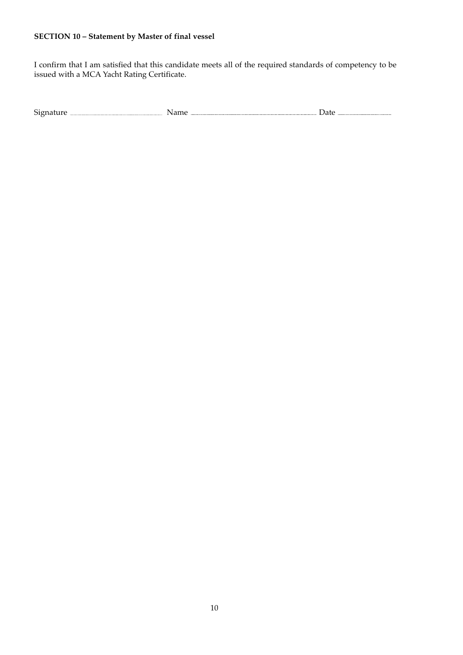## **SECTION 10 – Statement by Master of final vessel**

I confirm that I am satisfied that this candidate meets all of the required standards of competency to be issued with a MCA Yacht Rating Certificate.